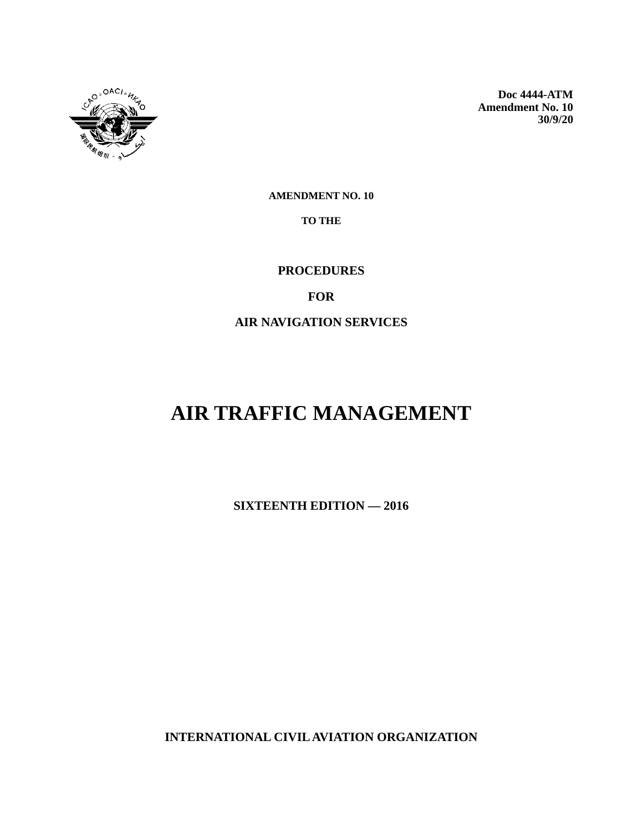

**Doc 4444-ATM Amendment No. 10 30/9/20** 

**AMENDMENT NO. 10** 

**TO THE** 

**PROCEDURES** 

**FOR** 

**AIR NAVIGATION SERVICES** 

# **AIR TRAFFIC MANAGEMENT**

**SIXTEENTH EDITION — 2016** 

**INTERNATIONAL CIVIL AVIATION ORGANIZATION**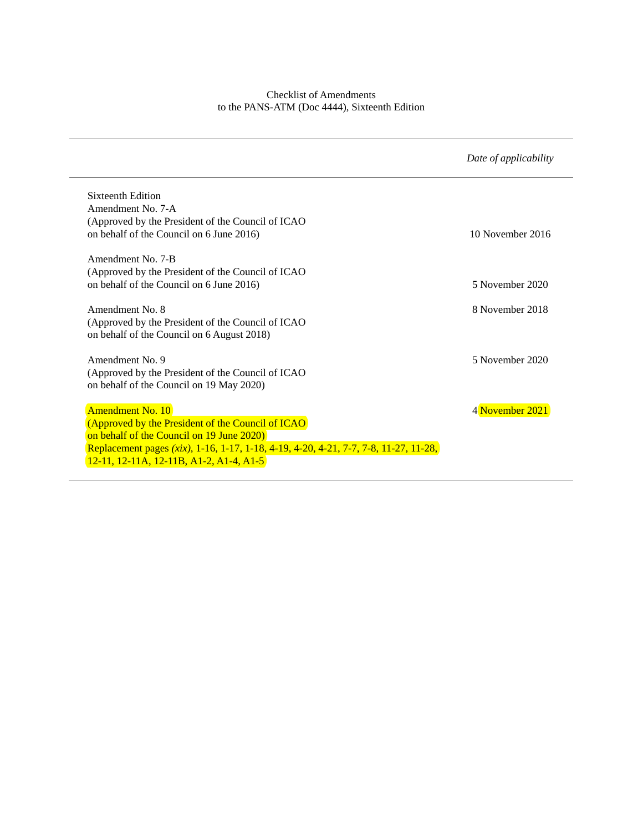## Checklist of Amendments to the PANS-ATM (Doc 4444), Sixteenth Edition

*Date of applicability* 

| Sixteenth Edition<br>Amendment No. 7-A<br>(Approved by the President of the Council of ICAO)<br>on behalf of the Council on 6 June 2016)                                                                                                                             | 10 November 2016 |
|----------------------------------------------------------------------------------------------------------------------------------------------------------------------------------------------------------------------------------------------------------------------|------------------|
| Amendment No. 7-B<br>(Approved by the President of the Council of ICAO)<br>on behalf of the Council on 6 June 2016)                                                                                                                                                  | 5 November 2020  |
| Amendment No. 8<br>(Approved by the President of the Council of ICAO)<br>on behalf of the Council on 6 August 2018)                                                                                                                                                  | 8 November 2018  |
| Amendment No. 9<br>(Approved by the President of the Council of ICAO)<br>on behalf of the Council on 19 May 2020)                                                                                                                                                    | 5 November 2020  |
| <b>Amendment No. 10</b><br>(Approved by the President of the Council of ICAO)<br>on behalf of the Council on 19 June 2020)<br>Replacement pages (xix), 1-16, 1-17, 1-18, 4-19, 4-20, 4-21, 7-7, 7-8, 11-27, 11-28,<br><u>12-11, 12-11A, 12-11B, A1-2, A1-4, A1-5</u> | 4 November 2021  |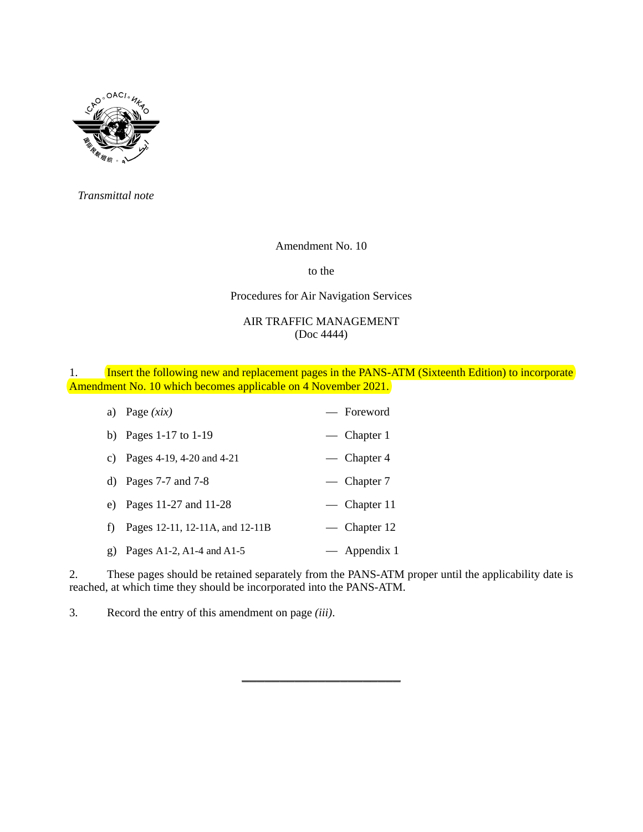

*Transmittal note*

Amendment No. 10

to the

## Procedures for Air Navigation Services

## AIR TRAFFIC MANAGEMENT (Doc 4444)

1. Insert the following new and replacement pages in the PANS-ATM (Sixteenth Edition) to incorporate Amendment No. 10 which becomes applicable on 4 November 2021.

|              | a) Page $(xix)$                 | — Foreword     |
|--------------|---------------------------------|----------------|
|              | b) Pages 1-17 to 1-19           | — Chapter $1$  |
| c)           | Pages 4-19, 4-20 and 4-21       | — Chapter $4$  |
| d)           | Pages 7-7 and 7-8               | — Chapter $7$  |
| e)           | Pages 11-27 and 11-28           | — Chapter $11$ |
| f)           | Pages 12-11, 12-11A, and 12-11B | — Chapter $12$ |
| $\mathbf{g}$ | Pages A1-2, A1-4 and A1-5       | — Appendix 1   |

2. These pages should be retained separately from the PANS-ATM proper until the applicability date is reached, at which time they should be incorporated into the PANS-ATM.

 $\overline{\phantom{a}}$  , where  $\overline{\phantom{a}}$  , where  $\overline{\phantom{a}}$  , where  $\overline{\phantom{a}}$ 

3. Record the entry of this amendment on page *(iii)*.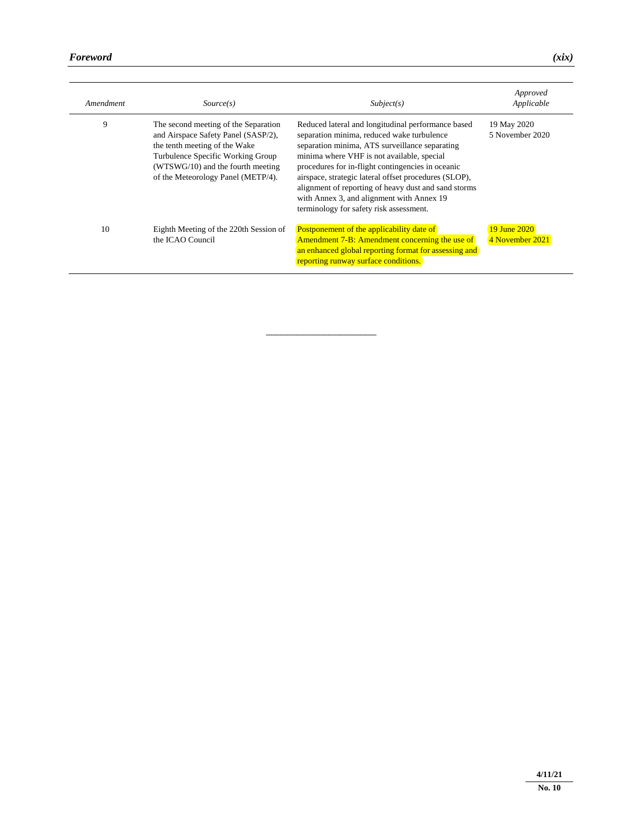| Amendment | Source(s)                                                                                                                                                                                                                    | Subject(s)                                                                                                                                                                                                                                                                                                                                                                                                                                                     | Approved<br>Applicable          |
|-----------|------------------------------------------------------------------------------------------------------------------------------------------------------------------------------------------------------------------------------|----------------------------------------------------------------------------------------------------------------------------------------------------------------------------------------------------------------------------------------------------------------------------------------------------------------------------------------------------------------------------------------------------------------------------------------------------------------|---------------------------------|
| 9         | The second meeting of the Separation<br>and Airspace Safety Panel (SASP/2),<br>the tenth meeting of the Wake<br>Turbulence Specific Working Group<br>(WTSWG/10) and the fourth meeting<br>of the Meteorology Panel (METP/4). | Reduced lateral and longitudinal performance based<br>separation minima, reduced wake turbulence<br>separation minima, ATS surveillance separating<br>minima where VHF is not available, special<br>procedures for in-flight contingencies in oceanic<br>airspace, strategic lateral offset procedures (SLOP),<br>alignment of reporting of heavy dust and sand storms<br>with Annex 3, and alignment with Annex 19<br>terminology for safety risk assessment. | 19 May 2020<br>5 November 2020  |
| 10        | Eighth Meeting of the 220th Session of<br>the ICAO Council                                                                                                                                                                   | Postponement of the applicability date of<br>Amendment 7-B: Amendment concerning the use of<br>an enhanced global reporting format for assessing and<br>reporting runway surface conditions.                                                                                                                                                                                                                                                                   | 19 June 2020<br>4 November 2021 |

\_\_\_\_\_\_\_\_\_\_\_\_\_\_\_\_\_\_\_\_\_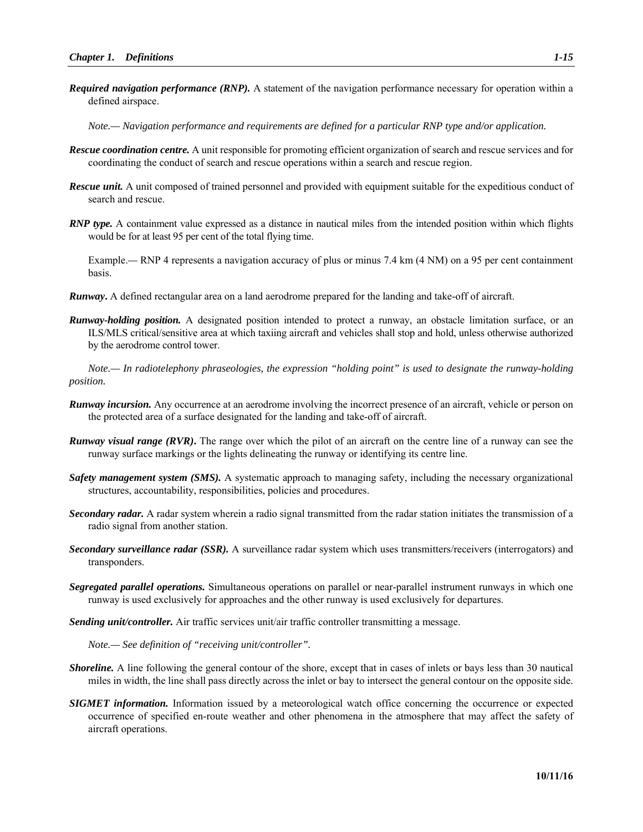*Required navigation performance (RNP).* A statement of the navigation performance necessary for operation within a defined airspace.

 *Note.— Navigation performance and requirements are defined for a particular RNP type and/or application.* 

- *Rescue coordination centre.* A unit responsible for promoting efficient organization of search and rescue services and for coordinating the conduct of search and rescue operations within a search and rescue region.
- *Rescue unit.* A unit composed of trained personnel and provided with equipment suitable for the expeditious conduct of search and rescue.
- *RNP type.* A containment value expressed as a distance in nautical miles from the intended position within which flights would be for at least 95 per cent of the total flying time.
	- Example.*—* RNP 4 represents a navigation accuracy of plus or minus 7.4 km (4 NM) on a 95 per cent containment basis.
- *Runway***.** A defined rectangular area on a land aerodrome prepared for the landing and take-off of aircraft.
- *Runway-holding position.* A designated position intended to protect a runway, an obstacle limitation surface, or an ILS/MLS critical/sensitive area at which taxiing aircraft and vehicles shall stop and hold, unless otherwise authorized by the aerodrome control tower.

*Note.— In radiotelephony phraseologies, the expression "holding point" is used to designate the runway-holding position.*

- *Runway incursion.* Any occurrence at an aerodrome involving the incorrect presence of an aircraft, vehicle or person on the protected area of a surface designated for the landing and take-off of aircraft.
- *Runway visual range (RVR)*. The range over which the pilot of an aircraft on the centre line of a runway can see the runway surface markings or the lights delineating the runway or identifying its centre line.
- *Safety management system (SMS).* A systematic approach to managing safety, including the necessary organizational structures, accountability, responsibilities, policies and procedures.
- *Secondary radar.* A radar system wherein a radio signal transmitted from the radar station initiates the transmission of a radio signal from another station.
- *Secondary surveillance radar (SSR).* A surveillance radar system which uses transmitters/receivers (interrogators) and transponders.
- *Segregated parallel operations.* Simultaneous operations on parallel or near-parallel instrument runways in which one runway is used exclusively for approaches and the other runway is used exclusively for departures.

**Sending unit/controller.** Air traffic services unit/air traffic controller transmitting a message.

*Note.— See definition of "receiving unit/controller".* 

- *Shoreline.* A line following the general contour of the shore, except that in cases of inlets or bays less than 30 nautical miles in width, the line shall pass directly across the inlet or bay to intersect the general contour on the opposite side.
- *SIGMET information.* Information issued by a meteorological watch office concerning the occurrence or expected occurrence of specified en-route weather and other phenomena in the atmosphere that may affect the safety of aircraft operations.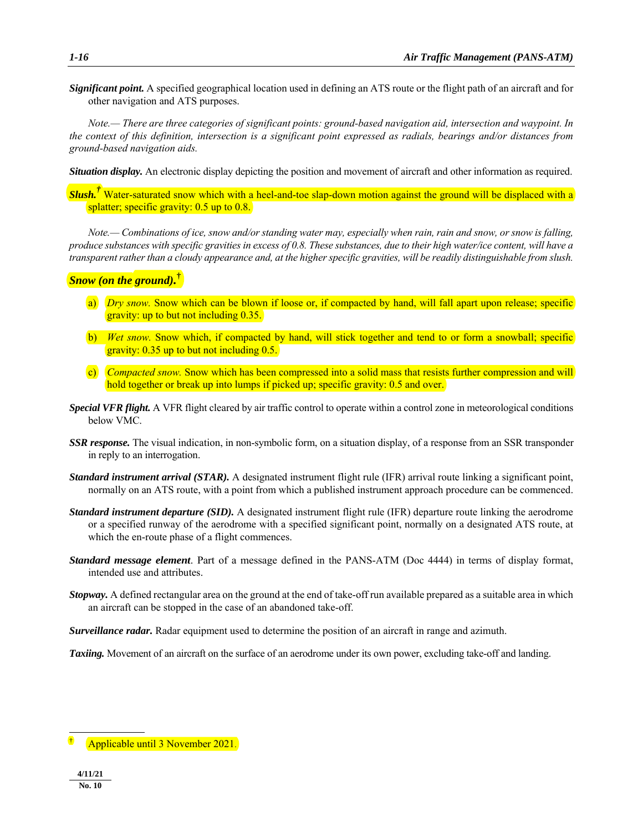*Significant point.* A specified geographical location used in defining an ATS route or the flight path of an aircraft and for other navigation and ATS purposes.

 *Note.— There are three categories of significant points: ground-based navigation aid, intersection and waypoint. In the context of this definition, intersection is a significant point expressed as radials, bearings and/or distances from ground-based navigation aids.* 

*Situation display.* An electronic display depicting the position and movement of aircraft and other information as required.

*Slush.†* Water-saturated snow which with a heel-and-toe slap-down motion against the ground will be displaced with a splatter; specific gravity: 0.5 up to 0.8.

*Note.— Combinations of ice, snow and/or standing water may, especially when rain, rain and snow, or snow is falling, produce substances with specific gravities in excess of 0.8. These substances, due to their high water/ice content, will have a transparent rather than a cloudy appearance and, at the higher specific gravities, will be readily distinguishable from slush.* 

*Snow (on the ground).* **†**

- a) *Dry snow.* Snow which can be blown if loose or, if compacted by hand, will fall apart upon release; specific gravity: up to but not including 0.35.
- b) *Wet snow.* Snow which, if compacted by hand, will stick together and tend to or form a snowball; specific gravity: 0.35 up to but not including 0.5.
- c) *Compacted snow.* Snow which has been compressed into a solid mass that resists further compression and will hold together or break up into lumps if picked up; specific gravity: 0.5 and over.
- *Special VFR flight.* A VFR flight cleared by air traffic control to operate within a control zone in meteorological conditions below VMC.
- *SSR response.* The visual indication, in non-symbolic form, on a situation display, of a response from an SSR transponder in reply to an interrogation.
- *Standard instrument arrival (STAR).* A designated instrument flight rule (IFR) arrival route linking a significant point, normally on an ATS route, with a point from which a published instrument approach procedure can be commenced.
- *Standard instrument departure (SID).* A designated instrument flight rule (IFR) departure route linking the aerodrome or a specified runway of the aerodrome with a specified significant point, normally on a designated ATS route, at which the en-route phase of a flight commences.
- *Standard message element*. Part of a message defined in the PANS-ATM (Doc 4444) in terms of display format, intended use and attributes.
- *Stopway.* A defined rectangular area on the ground at the end of take-off run available prepared as a suitable area in which an aircraft can be stopped in the case of an abandoned take-off.
- *Surveillance radar.* Radar equipment used to determine the position of an aircraft in range and azimuth.

*Taxiing.* Movement of an aircraft on the surface of an aerodrome under its own power, excluding take-off and landing.

 $\overline{a}$ †

Applicable until 3 November 2021.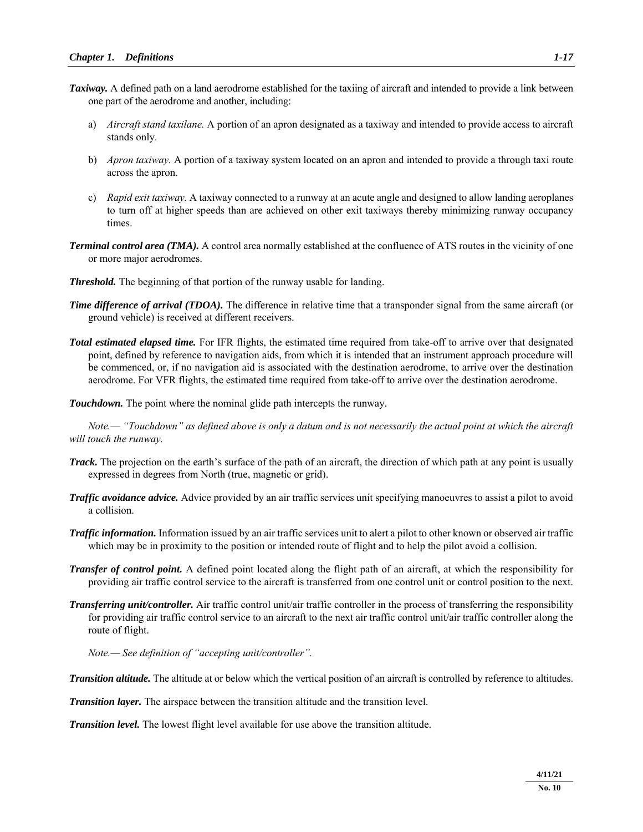- *Taxiway*. A defined path on a land aerodrome established for the taxiing of aircraft and intended to provide a link between one part of the aerodrome and another, including:
	- a) *Aircraft stand taxilane.* A portion of an apron designated as a taxiway and intended to provide access to aircraft stands only.
	- b) *Apron taxiway.* A portion of a taxiway system located on an apron and intended to provide a through taxi route across the apron.
	- c) *Rapid exit taxiway.* A taxiway connected to a runway at an acute angle and designed to allow landing aeroplanes to turn off at higher speeds than are achieved on other exit taxiways thereby minimizing runway occupancy times.
- *Terminal control area (TMA).* A control area normally established at the confluence of ATS routes in the vicinity of one or more major aerodromes.
- *Threshold.* The beginning of that portion of the runway usable for landing.
- *Time difference of arrival (TDOA)*. The difference in relative time that a transponder signal from the same aircraft (or ground vehicle) is received at different receivers.
- *Total estimated elapsed time.* For IFR flights, the estimated time required from take-off to arrive over that designated point, defined by reference to navigation aids, from which it is intended that an instrument approach procedure will be commenced, or, if no navigation aid is associated with the destination aerodrome, to arrive over the destination aerodrome. For VFR flights, the estimated time required from take-off to arrive over the destination aerodrome.

**Touchdown.** The point where the nominal glide path intercepts the runway.

*Note.— "Touchdown" as defined above is only a datum and is not necessarily the actual point at which the aircraft will touch the runway.* 

- *Track*. The projection on the earth's surface of the path of an aircraft, the direction of which path at any point is usually expressed in degrees from North (true, magnetic or grid).
- *Traffic avoidance advice.* Advice provided by an air traffic services unit specifying manoeuvres to assist a pilot to avoid a collision.
- *Traffic information.* Information issued by an air traffic services unit to alert a pilot to other known or observed air traffic which may be in proximity to the position or intended route of flight and to help the pilot avoid a collision.
- *Transfer of control point.* A defined point located along the flight path of an aircraft, at which the responsibility for providing air traffic control service to the aircraft is transferred from one control unit or control position to the next.
- *Transferring unit/controller.* Air traffic control unit/air traffic controller in the process of transferring the responsibility for providing air traffic control service to an aircraft to the next air traffic control unit/air traffic controller along the route of flight.

*Note.— See definition of "accepting unit/controller".* 

*Transition altitude*. The altitude at or below which the vertical position of an aircraft is controlled by reference to altitudes.

*Transition layer.* The airspace between the transition altitude and the transition level.

*Transition level.* The lowest flight level available for use above the transition altitude.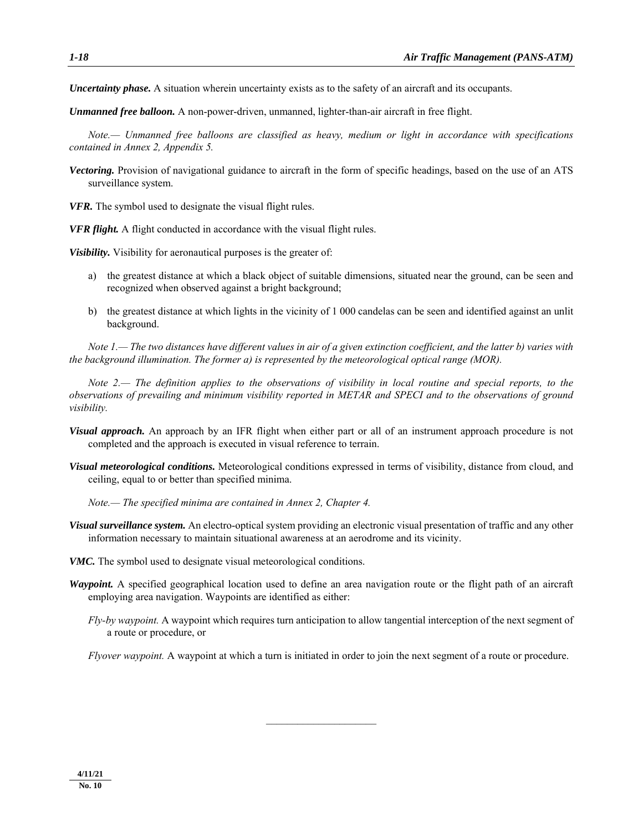*Uncertainty phase.* A situation wherein uncertainty exists as to the safety of an aircraft and its occupants.

*Unmanned free balloon.* A non-power-driven, unmanned, lighter-than-air aircraft in free flight.

*Note.— Unmanned free balloons are classified as heavy, medium or light in accordance with specifications contained in Annex 2, Appendix 5.* 

*Vectoring.* Provision of navigational guidance to aircraft in the form of specific headings, based on the use of an ATS surveillance system.

*VFR.* The symbol used to designate the visual flight rules.

*VFR flight.* A flight conducted in accordance with the visual flight rules.

*Visibility.* Visibility for aeronautical purposes is the greater of:

- a) the greatest distance at which a black object of suitable dimensions, situated near the ground, can be seen and recognized when observed against a bright background;
- b) the greatest distance at which lights in the vicinity of 1 000 candelas can be seen and identified against an unlit background.

 *Note 1.— The two distances have different values in air of a given extinction coefficient, and the latter b) varies with the background illumination. The former a) is represented by the meteorological optical range (MOR).* 

 *Note 2.— The definition applies to the observations of visibility in local routine and special reports, to the observations of prevailing and minimum visibility reported in METAR and SPECI and to the observations of ground visibility.* 

- *Visual approach.* An approach by an IFR flight when either part or all of an instrument approach procedure is not completed and the approach is executed in visual reference to terrain.
- *Visual meteorological conditions.* Meteorological conditions expressed in terms of visibility, distance from cloud, and ceiling, equal to or better than specified minima.

*Note.— The specified minima are contained in Annex 2, Chapter 4.* 

*Visual surveillance system.* An electro-optical system providing an electronic visual presentation of traffic and any other information necessary to maintain situational awareness at an aerodrome and its vicinity.

*VMC.* The symbol used to designate visual meteorological conditions.

- *Waypoint.* A specified geographical location used to define an area navigation route or the flight path of an aircraft employing area navigation. Waypoints are identified as either:
	- *Fly-by waypoint.* A waypoint which requires turn anticipation to allow tangential interception of the next segment of a route or procedure, or

*Flyover waypoint.* A waypoint at which a turn is initiated in order to join the next segment of a route or procedure.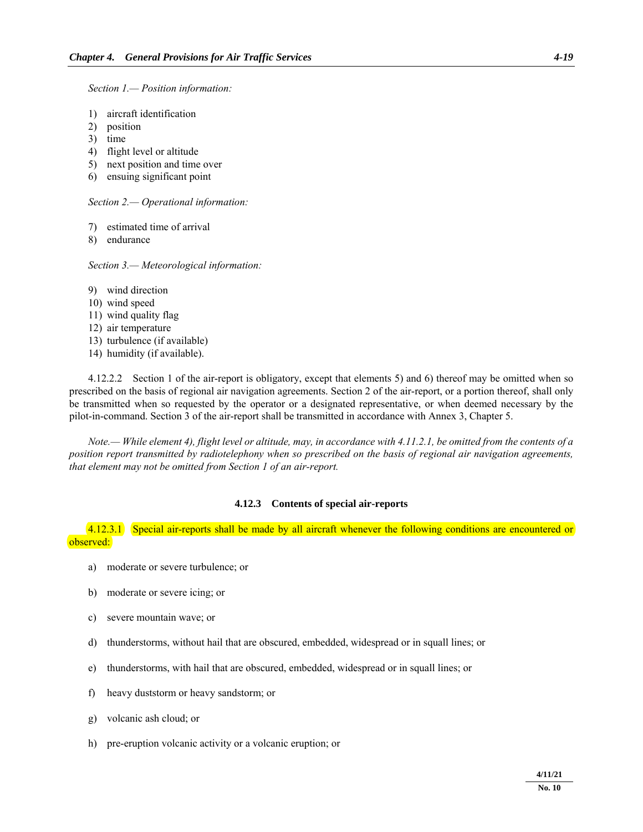*Section 1.— Position information:* 

- 1) aircraft identification
- 2) position
- 3) time
- 4) flight level or altitude
- 5) next position and time over
- 6) ensuing significant point

 *Section 2.— Operational information:* 

- 7) estimated time of arrival
- 8) endurance

 *Section 3.— Meteorological information:* 

- 9) wind direction
- 10) wind speed
- 11) wind quality flag
- 12) air temperature
- 13) turbulence (if available)
- 14) humidity (if available).

 4.12.2.2 Section 1 of the air-report is obligatory, except that elements 5) and 6) thereof may be omitted when so prescribed on the basis of regional air navigation agreements. Section 2 of the air-report, or a portion thereof, shall only be transmitted when so requested by the operator or a designated representative, or when deemed necessary by the pilot-in-command. Section 3 of the air-report shall be transmitted in accordance with Annex 3, Chapter 5.

 *Note.— While element 4), flight level or altitude, may, in accordance with 4.11.2.1, be omitted from the contents of a position report transmitted by radiotelephony when so prescribed on the basis of regional air navigation agreements, that element may not be omitted from Section 1 of an air-report.* 

### **4.12.3 Contents of special air-reports**

 4.12.3.1 Special air-reports shall be made by all aircraft whenever the following conditions are encountered or observed:

- a) moderate or severe turbulence; or
- b) moderate or severe icing; or
- c) severe mountain wave; or
- d) thunderstorms, without hail that are obscured, embedded, widespread or in squall lines; or
- e) thunderstorms, with hail that are obscured, embedded, widespread or in squall lines; or
- f) heavy duststorm or heavy sandstorm; or
- g) volcanic ash cloud; or
- h) pre-eruption volcanic activity or a volcanic eruption; or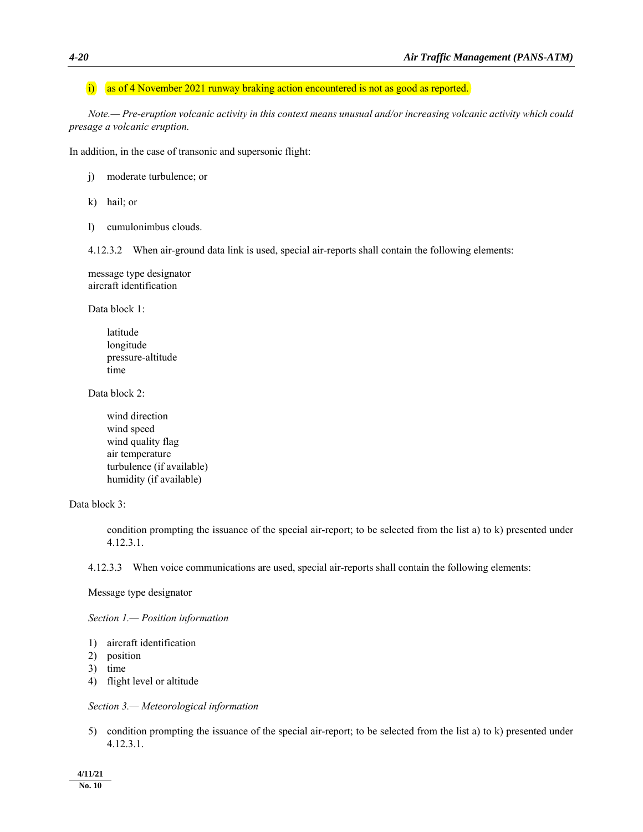i) as of 4 November 2021 runway braking action encountered is not as good as reported.

 *Note.— Pre-eruption volcanic activity in this context means unusual and/or increasing volcanic activity which could presage a volcanic eruption.* 

In addition, in the case of transonic and supersonic flight:

- j) moderate turbulence; or
- k) hail; or
- l) cumulonimbus clouds.

4.12.3.2 When air-ground data link is used, special air-reports shall contain the following elements:

 message type designator aircraft identification

Data block 1:

 latitude longitude pressure-altitude time

Data block 2:

 wind direction wind speed wind quality flag air temperature turbulence (if available) humidity (if available)

Data block 3:

 condition prompting the issuance of the special air-report; to be selected from the list a) to k) presented under 4.12.3.1.

4.12.3.3 When voice communications are used, special air-reports shall contain the following elements:

Message type designator

 *Section 1.— Position information* 

- 1) aircraft identification
- 2) position

3) time

4) flight level or altitude

 *Section 3.— Meteorological information* 

 5) condition prompting the issuance of the special air-report; to be selected from the list a) to k) presented under 4.12.3.1.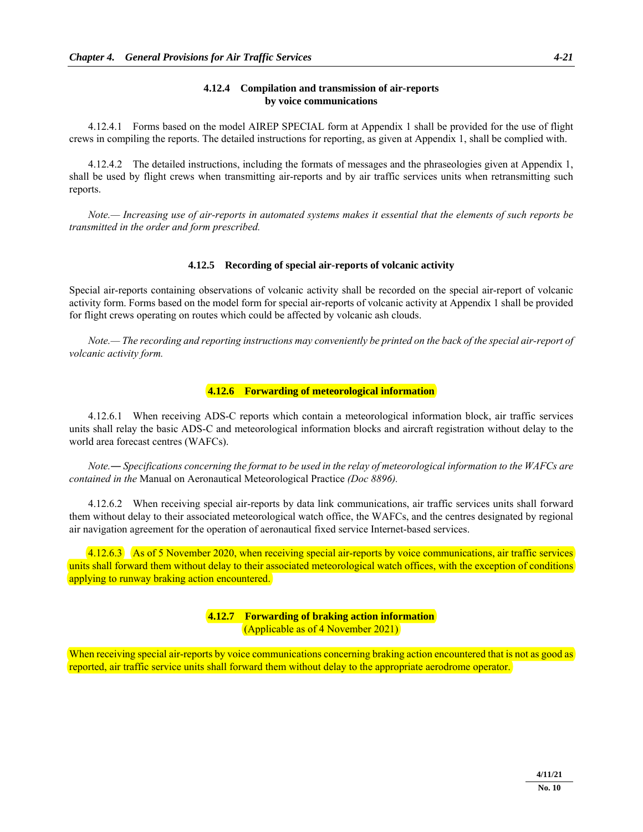## **4.12.4 Compilation and transmission of air-reports by voice communications**

 4.12.4.1 Forms based on the model AIREP SPECIAL form at Appendix 1 shall be provided for the use of flight crews in compiling the reports. The detailed instructions for reporting, as given at Appendix 1, shall be complied with.

 4.12.4.2 The detailed instructions, including the formats of messages and the phraseologies given at Appendix 1, shall be used by flight crews when transmitting air-reports and by air traffic services units when retransmitting such reports.

 *Note.— Increasing use of air-reports in automated systems makes it essential that the elements of such reports be transmitted in the order and form prescribed.* 

### **4.12.5 Recording of special air-reports of volcanic activity**

Special air-reports containing observations of volcanic activity shall be recorded on the special air-report of volcanic activity form. Forms based on the model form for special air-reports of volcanic activity at Appendix 1 shall be provided for flight crews operating on routes which could be affected by volcanic ash clouds.

 *Note.— The recording and reporting instructions may conveniently be printed on the back of the special air-report of volcanic activity form.* 

#### **4.12.6 Forwarding of meteorological information**

 4.12.6.1 When receiving ADS-C reports which contain a meteorological information block, air traffic services units shall relay the basic ADS-C and meteorological information blocks and aircraft registration without delay to the world area forecast centres (WAFCs).

*Note.― Specifications concerning the format to be used in the relay of meteorological information to the WAFCs are contained in the* Manual on Aeronautical Meteorological Practice *(Doc 8896).* 

 4.12.6.2 When receiving special air-reports by data link communications, air traffic services units shall forward them without delay to their associated meteorological watch office, the WAFCs, and the centres designated by regional air navigation agreement for the operation of aeronautical fixed service Internet-based services.

 4.12.6.3 As of 5 November 2020, when receiving special air-reports by voice communications, air traffic services units shall forward them without delay to their associated meteorological watch offices, with the exception of conditions applying to runway braking action encountered.

> **4.12.7 Forwarding of braking action information**  (Applicable as of 4 November 2021)

When receiving special air-reports by voice communications concerning braking action encountered that is not as good as reported, air traffic service units shall forward them without delay to the appropriate aerodrome operator.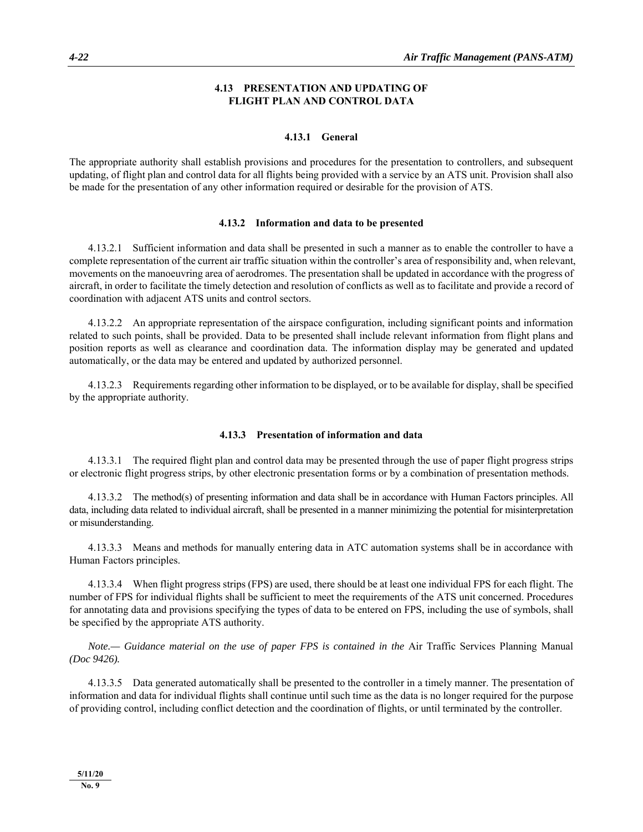## **4.13 PRESENTATION AND UPDATING OF FLIGHT PLAN AND CONTROL DATA**

#### **4.13.1 General**

The appropriate authority shall establish provisions and procedures for the presentation to controllers, and subsequent updating, of flight plan and control data for all flights being provided with a service by an ATS unit. Provision shall also be made for the presentation of any other information required or desirable for the provision of ATS.

## **4.13.2 Information and data to be presented**

 4.13.2.1 Sufficient information and data shall be presented in such a manner as to enable the controller to have a complete representation of the current air traffic situation within the controller's area of responsibility and, when relevant, movements on the manoeuvring area of aerodromes. The presentation shall be updated in accordance with the progress of aircraft, in order to facilitate the timely detection and resolution of conflicts as well as to facilitate and provide a record of coordination with adjacent ATS units and control sectors.

 4.13.2.2 An appropriate representation of the airspace configuration, including significant points and information related to such points, shall be provided. Data to be presented shall include relevant information from flight plans and position reports as well as clearance and coordination data. The information display may be generated and updated automatically, or the data may be entered and updated by authorized personnel.

 4.13.2.3 Requirements regarding other information to be displayed, or to be available for display, shall be specified by the appropriate authority.

#### **4.13.3 Presentation of information and data**

 4.13.3.1 The required flight plan and control data may be presented through the use of paper flight progress strips or electronic flight progress strips, by other electronic presentation forms or by a combination of presentation methods.

 4.13.3.2 The method(s) of presenting information and data shall be in accordance with Human Factors principles. All data, including data related to individual aircraft, shall be presented in a manner minimizing the potential for misinterpretation or misunderstanding.

 4.13.3.3 Means and methods for manually entering data in ATC automation systems shall be in accordance with Human Factors principles.

 4.13.3.4 When flight progress strips (FPS) are used, there should be at least one individual FPS for each flight. The number of FPS for individual flights shall be sufficient to meet the requirements of the ATS unit concerned. Procedures for annotating data and provisions specifying the types of data to be entered on FPS, including the use of symbols, shall be specified by the appropriate ATS authority.

 *Note.— Guidance material on the use of paper FPS is contained in the* Air Traffic Services Planning Manual *(Doc 9426).* 

 4.13.3.5 Data generated automatically shall be presented to the controller in a timely manner. The presentation of information and data for individual flights shall continue until such time as the data is no longer required for the purpose of providing control, including conflict detection and the coordination of flights, or until terminated by the controller.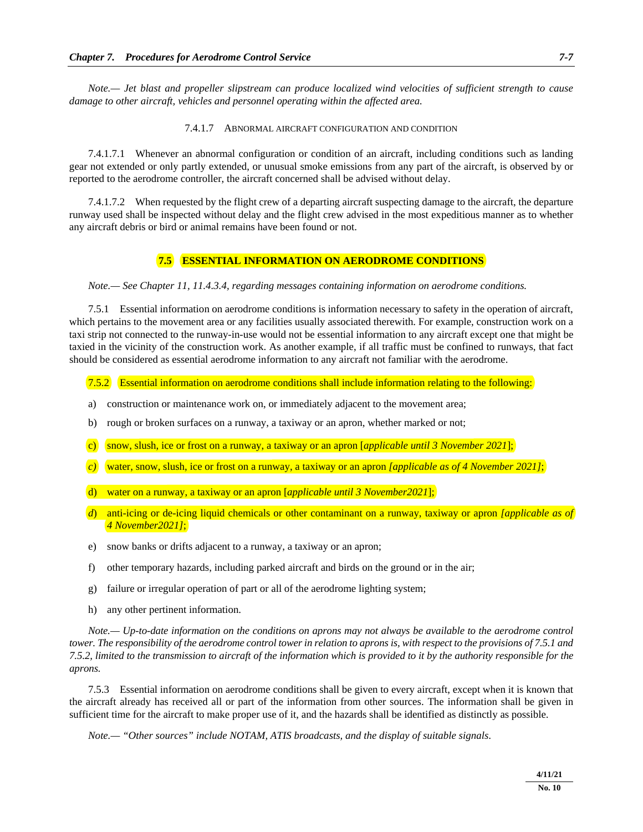*Note.— Jet blast and propeller slipstream can produce localized wind velocities of sufficient strength to cause damage to other aircraft, vehicles and personnel operating within the affected area.* 

7.4.1.7 ABNORMAL AIRCRAFT CONFIGURATION AND CONDITION

 7.4.1.7.1 Whenever an abnormal configuration or condition of an aircraft, including conditions such as landing gear not extended or only partly extended, or unusual smoke emissions from any part of the aircraft, is observed by or reported to the aerodrome controller, the aircraft concerned shall be advised without delay.

 7.4.1.7.2 When requested by the flight crew of a departing aircraft suspecting damage to the aircraft, the departure runway used shall be inspected without delay and the flight crew advised in the most expeditious manner as to whether any aircraft debris or bird or animal remains have been found or not.

## **7.5 ESSENTIAL INFORMATION ON AERODROME CONDITIONS**

 *Note.— See Chapter 11, 11.4.3.4, regarding messages containing information on aerodrome conditions.* 

 7.5.1 Essential information on aerodrome conditions is information necessary to safety in the operation of aircraft, which pertains to the movement area or any facilities usually associated therewith. For example, construction work on a taxi strip not connected to the runway-in-use would not be essential information to any aircraft except one that might be taxied in the vicinity of the construction work. As another example, if all traffic must be confined to runways, that fact should be considered as essential aerodrome information to any aircraft not familiar with the aerodrome.

7.5.2 Essential information on aerodrome conditions shall include information relating to the following:

- a) construction or maintenance work on, or immediately adjacent to the movement area;
- b) rough or broken surfaces on a runway, a taxiway or an apron, whether marked or not;
- c) snow, slush, ice or frost on a runway, a taxiway or an apron [*applicable until 3 November 2021*];
- *c)* water, snow, slush, ice or frost on a runway, a taxiway or an apron *[applicable as of 4 November 2021]*;
- d) water on a runway, a taxiway or an apron [*applicable until 3 November2021*];
- *d*) anti-icing or de-icing liquid chemicals or other contaminant on a runway, taxiway or apron *[applicable as of 4 November2021]*;
- e) snow banks or drifts adjacent to a runway, a taxiway or an apron;
- f) other temporary hazards, including parked aircraft and birds on the ground or in the air;
- g) failure or irregular operation of part or all of the aerodrome lighting system;
- h) any other pertinent information.

*Note.— Up-to-date information on the conditions on aprons may not always be available to the aerodrome control tower. The responsibility of the aerodrome control tower in relation to aprons is, with respect to the provisions of 7.5.1 and 7.5.2, limited to the transmission to aircraft of the information which is provided to it by the authority responsible for the aprons.* 

 7.5.3 Essential information on aerodrome conditions shall be given to every aircraft, except when it is known that the aircraft already has received all or part of the information from other sources. The information shall be given in sufficient time for the aircraft to make proper use of it, and the hazards shall be identified as distinctly as possible.

 *Note.— "Other sources" include NOTAM, ATIS broadcasts, and the display of suitable signals*.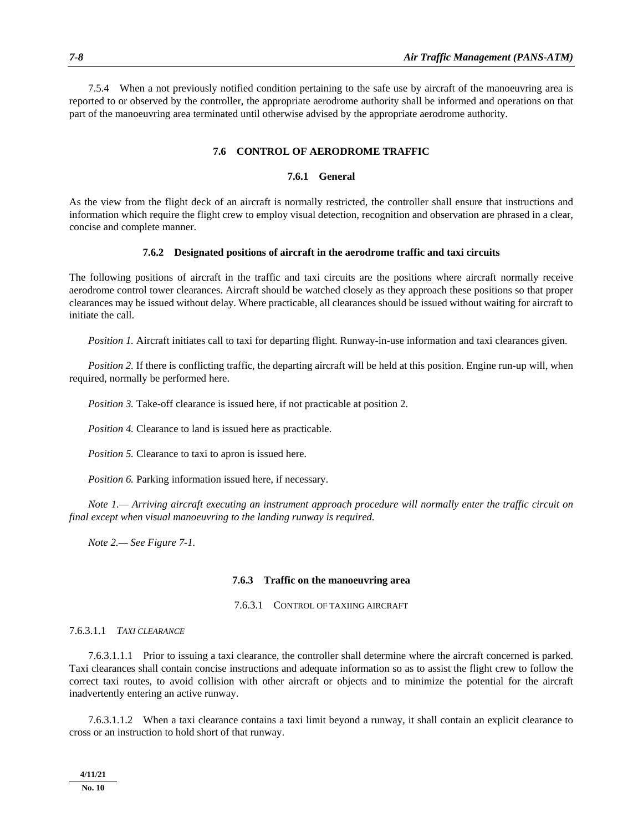7.5.4 When a not previously notified condition pertaining to the safe use by aircraft of the manoeuvring area is reported to or observed by the controller, the appropriate aerodrome authority shall be informed and operations on that part of the manoeuvring area terminated until otherwise advised by the appropriate aerodrome authority.

#### **7.6 CONTROL OF AERODROME TRAFFIC**

#### **7.6.1 General**

As the view from the flight deck of an aircraft is normally restricted, the controller shall ensure that instructions and information which require the flight crew to employ visual detection, recognition and observation are phrased in a clear, concise and complete manner.

#### **7.6.2 Designated positions of aircraft in the aerodrome traffic and taxi circuits**

The following positions of aircraft in the traffic and taxi circuits are the positions where aircraft normally receive aerodrome control tower clearances. Aircraft should be watched closely as they approach these positions so that proper clearances may be issued without delay. Where practicable, all clearances should be issued without waiting for aircraft to initiate the call.

 *Position 1.* Aircraft initiates call to taxi for departing flight. Runway-in-use information and taxi clearances given.

*Position 2.* If there is conflicting traffic, the departing aircraft will be held at this position. Engine run-up will, when required, normally be performed here.

 *Position 3.* Take-off clearance is issued here, if not practicable at position 2.

 *Position 4.* Clearance to land is issued here as practicable.

*Position 5.* Clearance to taxi to apron is issued here.

 *Position 6.* Parking information issued here, if necessary.

 *Note 1.— Arriving aircraft executing an instrument approach procedure will normally enter the traffic circuit on final except when visual manoeuvring to the landing runway is required.* 

 *Note 2.— See Figure 7-1.* 

#### **7.6.3 Traffic on the manoeuvring area**

7.6.3.1 CONTROL OF TAXIING AIRCRAFT

## 7.6.3.1.1 *TAXI CLEARANCE*

 7.6.3.1.1.1 Prior to issuing a taxi clearance, the controller shall determine where the aircraft concerned is parked. Taxi clearances shall contain concise instructions and adequate information so as to assist the flight crew to follow the correct taxi routes, to avoid collision with other aircraft or objects and to minimize the potential for the aircraft inadvertently entering an active runway.

 7.6.3.1.1.2 When a taxi clearance contains a taxi limit beyond a runway, it shall contain an explicit clearance to cross or an instruction to hold short of that runway.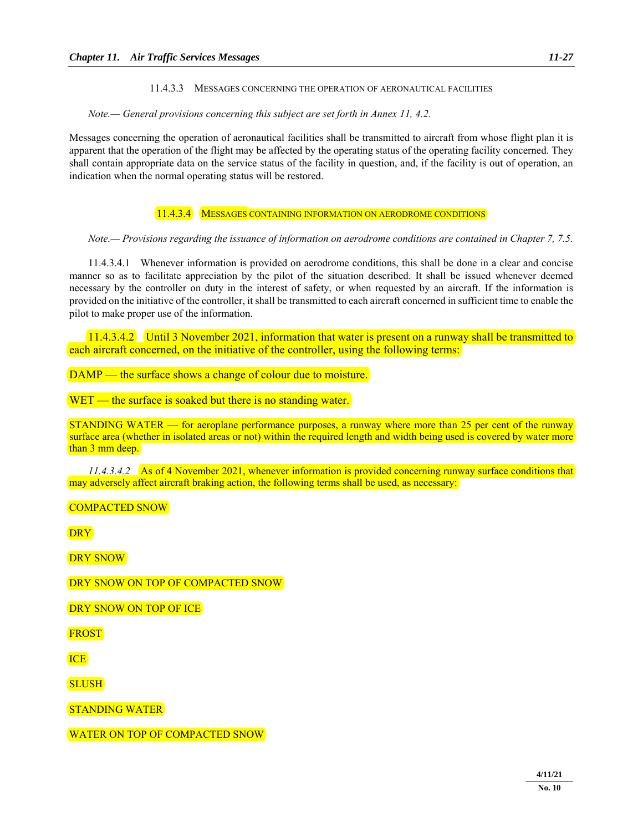11.4.3.3 MESSAGES CONCERNING THE OPERATION OF AERONAUTICAL FACILITIES

*Note.— General provisions concerning this subject are set forth in Annex 11, 4.2.* 

Messages concerning the operation of aeronautical facilities shall be transmitted to aircraft from whose flight plan it is apparent that the operation of the flight may be affected by the operating status of the operating facility concerned. They shall contain appropriate data on the service status of the facility in question, and, if the facility is out of operation, an indication when the normal operating status will be restored.

## 11.4.3.4 MESSAGES CONTAINING INFORMATION ON AERODROME CONDITIONS

*Note.— Provisions regarding the issuance of information on aerodrome conditions are contained in Chapter 7, 7.5.* 

 11.4.3.4.1 Whenever information is provided on aerodrome conditions, this shall be done in a clear and concise manner so as to facilitate appreciation by the pilot of the situation described. It shall be issued whenever deemed necessary by the controller on duty in the interest of safety, or when requested by an aircraft. If the information is provided on the initiative of the controller, it shall be transmitted to each aircraft concerned in sufficient time to enable the pilot to make proper use of the information.

 11.4.3.4.2 Until 3 November 2021, information that water is present on a runway shall be transmitted to each aircraft concerned, on the initiative of the controller, using the following terms:

DAMP — the surface shows a change of colour due to moisture.

WET — the surface is soaked but there is no standing water.

STANDING WATER — for aeroplane performance purposes, a runway where more than 25 per cent of the runway surface area (whether in isolated areas or not) within the required length and width being used is covered by water more than 3 mm deep.

*11.4.3.4.2* As of 4 November 2021, whenever information is provided concerning runway surface conditions that may adversely affect aircraft braking action, the following terms shall be used, as necessary:

COMPACTED SNOW

**DRY** 

DRY SNOW

DRY SNOW ON TOP OF COMPACTED SNOW

DRY SNOW ON TOP OF ICE

FROST

ICE

**SLUSH** 

STANDING WATER

WATER ON TOP OF COMPACTED SNOW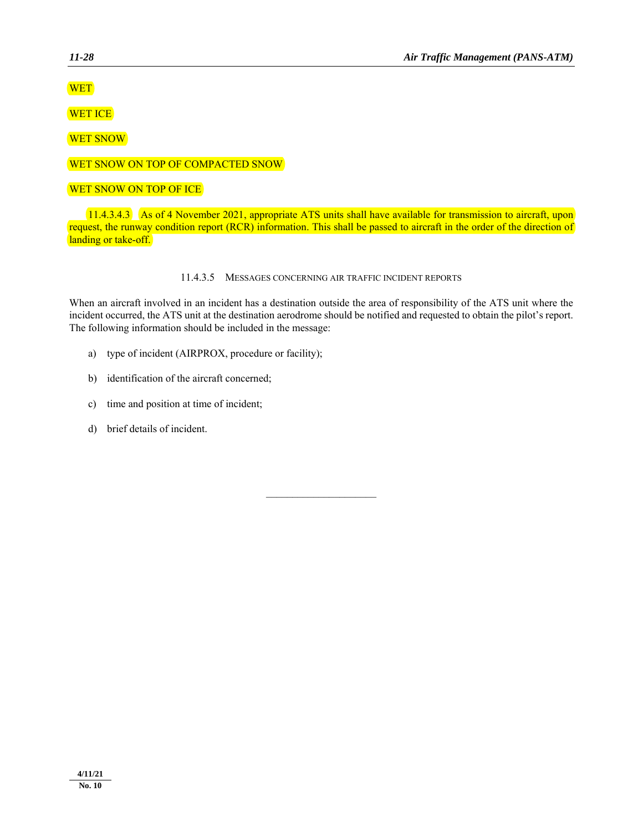## WET

WET ICE

## WET SNOW

## WET SNOW ON TOP OF COMPACTED SNOW

## WET SNOW ON TOP OF ICE

 11.4.3.4.3 As of 4 November 2021, appropriate ATS units shall have available for transmission to aircraft, upon request, the runway condition report (RCR) information. This shall be passed to aircraft in the order of the direction of landing or take-off.

## 11.4.3.5 MESSAGES CONCERNING AIR TRAFFIC INCIDENT REPORTS

When an aircraft involved in an incident has a destination outside the area of responsibility of the ATS unit where the incident occurred, the ATS unit at the destination aerodrome should be notified and requested to obtain the pilot's report. The following information should be included in the message:

- a) type of incident (AIRPROX, procedure or facility);
- b) identification of the aircraft concerned;
- c) time and position at time of incident;
- d) brief details of incident.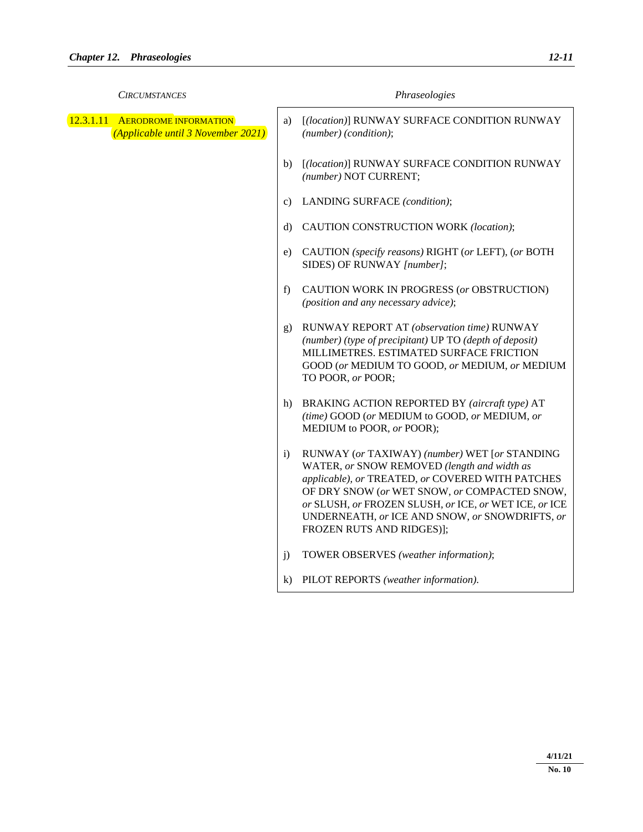| <b>CIRCUMSTANCES</b>                                                  | Phraseologies |                                                                                                                                                                                                                                                                                                                                          |
|-----------------------------------------------------------------------|---------------|------------------------------------------------------------------------------------------------------------------------------------------------------------------------------------------------------------------------------------------------------------------------------------------------------------------------------------------|
| 12.3.1.11 AERODROME INFORMATION<br>(Applicable until 3 November 2021) | a)            | [(location)] RUNWAY SURFACE CONDITION RUNWAY<br>$(number)$ (condition);                                                                                                                                                                                                                                                                  |
|                                                                       | b)            | [(location)] RUNWAY SURFACE CONDITION RUNWAY<br>(number) NOT CURRENT;                                                                                                                                                                                                                                                                    |
|                                                                       | c)            | LANDING SURFACE (condition);                                                                                                                                                                                                                                                                                                             |
|                                                                       | d)            | CAUTION CONSTRUCTION WORK (location);                                                                                                                                                                                                                                                                                                    |
|                                                                       | e)            | CAUTION (specify reasons) RIGHT (or LEFT), (or BOTH<br>SIDES) OF RUNWAY [number];                                                                                                                                                                                                                                                        |
|                                                                       | f)            | CAUTION WORK IN PROGRESS (or OBSTRUCTION)<br>(position and any necessary advice);                                                                                                                                                                                                                                                        |
|                                                                       | g)            | RUNWAY REPORT AT (observation time) RUNWAY<br>(number) (type of precipitant) UP TO (depth of deposit)<br>MILLIMETRES. ESTIMATED SURFACE FRICTION<br>GOOD (or MEDIUM TO GOOD, or MEDIUM, or MEDIUM<br>TO POOR, or POOR;                                                                                                                   |
|                                                                       | h)            | BRAKING ACTION REPORTED BY (aircraft type) AT<br>(time) GOOD (or MEDIUM to GOOD, or MEDIUM, or<br>MEDIUM to POOR, or POOR);                                                                                                                                                                                                              |
|                                                                       | $\ddot{1}$    | RUNWAY (or TAXIWAY) (number) WET [or STANDING<br>WATER, or SNOW REMOVED (length and width as<br>applicable), or TREATED, or COVERED WITH PATCHES<br>OF DRY SNOW (or WET SNOW, or COMPACTED SNOW,<br>or SLUSH, or FROZEN SLUSH, or ICE, or WET ICE, or ICE<br>UNDERNEATH, or ICE AND SNOW, or SNOWDRIFTS, or<br>FROZEN RUTS AND RIDGES)]; |
|                                                                       | j)            | TOWER OBSERVES (weather information);                                                                                                                                                                                                                                                                                                    |
|                                                                       | $\bf{k}$      | PILOT REPORTS (weather information).                                                                                                                                                                                                                                                                                                     |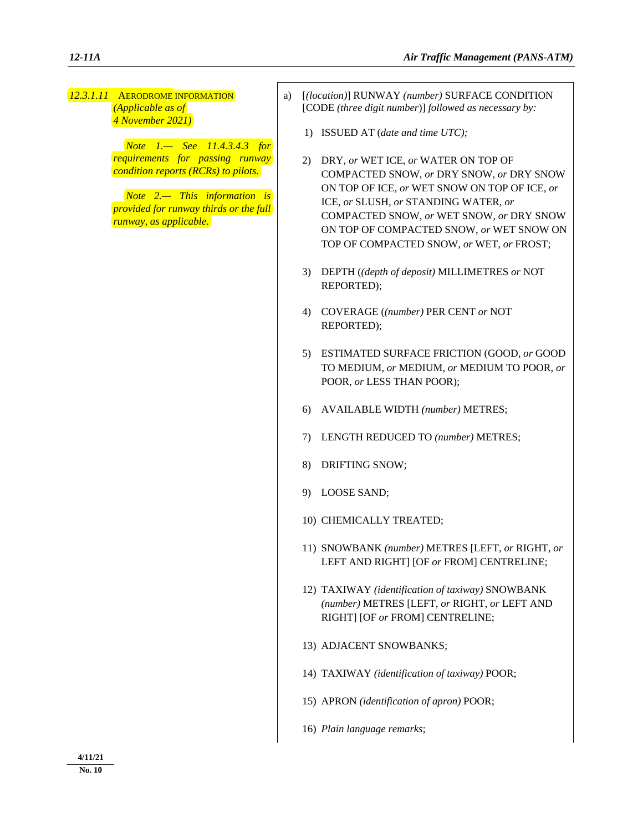## *12.3.1.11* AERODROME INFORMATION *(Applicable as of 4 November 2021)*

*Note 1.— See 11.4.3.4.3 for requirements for passing runway condition reports (RCRs) to pilots.* 

*Note 2.— This information is provided for runway thirds or the full runway, as applicable.* 

- a) [*(location)*] RUNWAY *(number)* SURFACE CONDITION [CODE *(three digit number*)] *followed as necessary by:* 
	- 1) ISSUED AT (*date and time UTC);*
	- 2) DRY, *or* WET ICE, *or* WATER ON TOP OF COMPACTED SNOW, *or* DRY SNOW, *or* DRY SNOW ON TOP OF ICE, *or* WET SNOW ON TOP OF ICE, *or* ICE, *or* SLUSH, *or* STANDING WATER, *or* COMPACTED SNOW, *or* WET SNOW, *or* DRY SNOW ON TOP OF COMPACTED SNOW, *or* WET SNOW ON TOP OF COMPACTED SNOW, *or* WET, *or* FROST;
	- 3) DEPTH (*(depth of deposit)* MILLIMETRES *or* NOT REPORTED);
	- 4) COVERAGE (*(number)* PER CENT *or* NOT REPORTED);
	- 5) ESTIMATED SURFACE FRICTION (GOOD, *or* GOOD TO MEDIUM, *or* MEDIUM, *or* MEDIUM TO POOR, *or*  POOR, *or* LESS THAN POOR);
	- 6) AVAILABLE WIDTH *(number)* METRES;
	- 7) LENGTH REDUCED TO *(number)* METRES;
	- 8) DRIFTING SNOW;
	- 9) LOOSE SAND;
	- 10) CHEMICALLY TREATED;
	- 11) SNOWBANK *(number)* METRES [LEFT, *or* RIGHT, *or* LEFT AND RIGHT] [OF *or* FROM] CENTRELINE;
	- 12) TAXIWAY *(identification of taxiway)* SNOWBANK *(number)* METRES [LEFT, *or* RIGHT, *or* LEFT AND RIGHT] [OF *or* FROM] CENTRELINE;
	- 13) ADJACENT SNOWBANKS;
	- 14) TAXIWAY *(identification of taxiway)* POOR;
	- 15) APRON *(identification of apron)* POOR;
	- 16) *Plain language remarks*;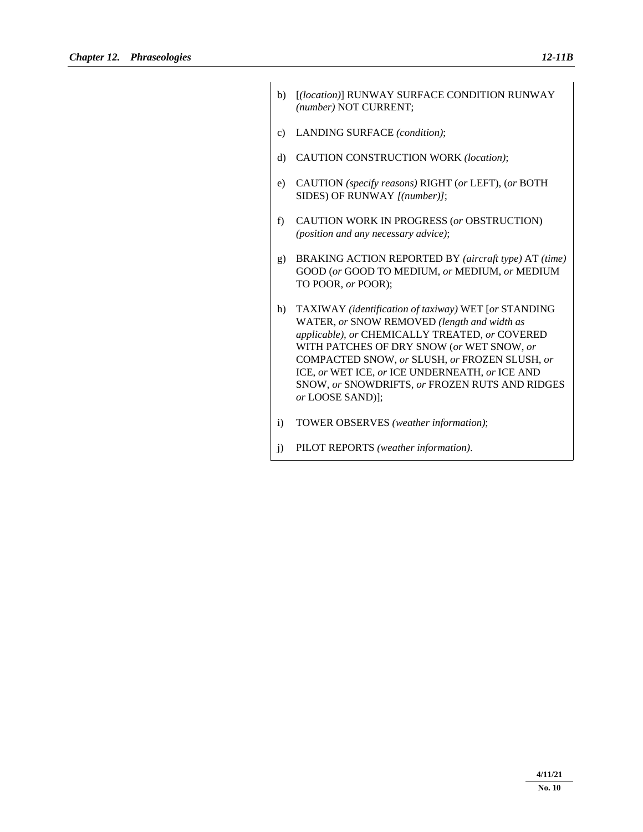| b)           | [(location)] RUNWAY SURFACE CONDITION RUNWAY<br>(number) NOT CURRENT;                                                                                                                                                                                                                                                                                                       |
|--------------|-----------------------------------------------------------------------------------------------------------------------------------------------------------------------------------------------------------------------------------------------------------------------------------------------------------------------------------------------------------------------------|
| C)           | LANDING SURFACE (condition);                                                                                                                                                                                                                                                                                                                                                |
| d)           | CAUTION CONSTRUCTION WORK (location);                                                                                                                                                                                                                                                                                                                                       |
| e)           | CAUTION (specify reasons) RIGHT (or LEFT), (or BOTH<br>SIDES) OF RUNWAY [(number)];                                                                                                                                                                                                                                                                                         |
| f            | CAUTION WORK IN PROGRESS (or OBSTRUCTION)<br>(position and any necessary advice);                                                                                                                                                                                                                                                                                           |
| g)           | BRAKING ACTION REPORTED BY (aircraft type) AT (time)<br>GOOD (or GOOD TO MEDIUM, or MEDIUM, or MEDIUM<br>TO POOR, or POOR);                                                                                                                                                                                                                                                 |
| h)           | TAXIWAY (identification of taxiway) WET [or STANDING<br>WATER, or SNOW REMOVED (length and width as<br>applicable), or CHEMICALLY TREATED, or COVERED<br>WITH PATCHES OF DRY SNOW (or WET SNOW, or<br>COMPACTED SNOW, or SLUSH, or FROZEN SLUSH, or<br>ICE, or WET ICE, or ICE UNDERNEATH, or ICE AND<br>SNOW, or SNOWDRIFTS, or FROZEN RUTS AND RIDGES<br>or LOOSE SAND)]; |
| $\ddot{1}$   | TOWER OBSERVES (weather information);                                                                                                                                                                                                                                                                                                                                       |
| $\mathbf{j}$ | PILOT REPORTS (weather information).                                                                                                                                                                                                                                                                                                                                        |
|              |                                                                                                                                                                                                                                                                                                                                                                             |
|              |                                                                                                                                                                                                                                                                                                                                                                             |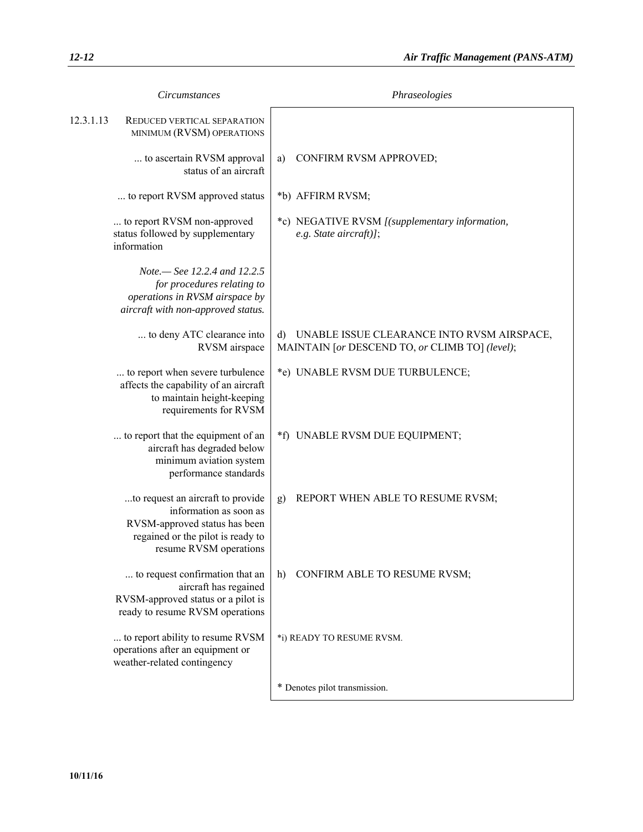| <i>Circumstances</i>                                                                                                                                        | Phraseologies                                                                                      |
|-------------------------------------------------------------------------------------------------------------------------------------------------------------|----------------------------------------------------------------------------------------------------|
| 12.3.1.13<br>REDUCED VERTICAL SEPARATION<br>MINIMUM (RVSM) OPERATIONS                                                                                       |                                                                                                    |
| to ascertain RVSM approval<br>status of an aircraft                                                                                                         | CONFIRM RVSM APPROVED;<br>a)                                                                       |
| to report RVSM approved status                                                                                                                              | *b) AFFIRM RVSM;                                                                                   |
| to report RVSM non-approved<br>status followed by supplementary<br>information                                                                              | *c) NEGATIVE RVSM [(supplementary information,<br>e.g. State aircraft)];                           |
| Note. - See 12.2.4 and 12.2.5<br>for procedures relating to<br>operations in RVSM airspace by<br>aircraft with non-approved status.                         |                                                                                                    |
| to deny ATC clearance into<br>RVSM airspace                                                                                                                 | UNABLE ISSUE CLEARANCE INTO RVSM AIRSPACE,<br>d)<br>MAINTAIN [or DESCEND TO, or CLIMB TO] (level); |
| to report when severe turbulence<br>affects the capability of an aircraft<br>to maintain height-keeping<br>requirements for RVSM                            | *e) UNABLE RVSM DUE TURBULENCE;                                                                    |
| to report that the equipment of an<br>aircraft has degraded below<br>minimum aviation system<br>performance standards                                       | *f) UNABLE RVSM DUE EQUIPMENT;                                                                     |
| to request an aircraft to provide<br>information as soon as<br>RVSM-approved status has been<br>regained or the pilot is ready to<br>resume RVSM operations | REPORT WHEN ABLE TO RESUME RVSM;<br>g)                                                             |
| to request confirmation that an<br>aircraft has regained<br>RVSM-approved status or a pilot is<br>ready to resume RVSM operations                           | CONFIRM ABLE TO RESUME RVSM;<br>h)                                                                 |
| to report ability to resume RVSM<br>operations after an equipment or<br>weather-related contingency                                                         | *i) READY TO RESUME RVSM.                                                                          |
|                                                                                                                                                             | * Denotes pilot transmission.                                                                      |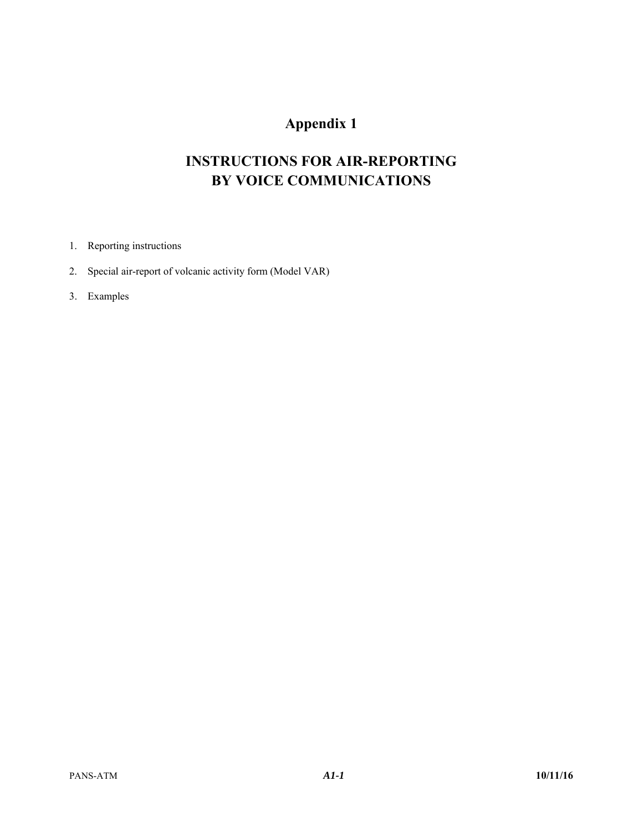## **Appendix 1**

## **INSTRUCTIONS FOR AIR-REPORTING BY VOICE COMMUNICATIONS**

- 1. Reporting instructions
- 2. Special air-report of volcanic activity form (Model VAR)
- 3. Examples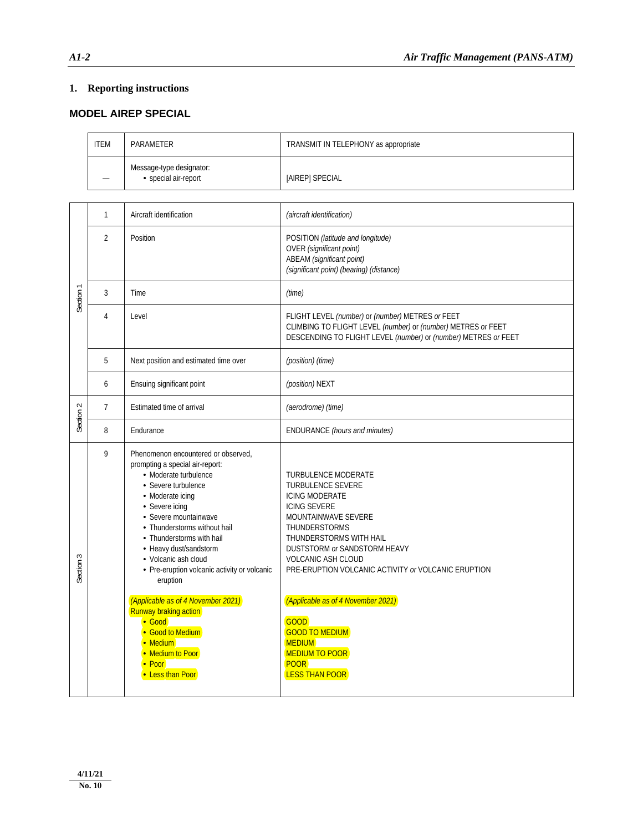## **1. Reporting instructions**

## **MODEL AIREP SPECIAL**

|           | <b>ITEM</b>    | PARAMETER                                                                                                                                                                                                                                                                                                                                                        | TRANSMIT IN TELEPHONY as appropriate                                                                                                                                                                                                                                                   |
|-----------|----------------|------------------------------------------------------------------------------------------------------------------------------------------------------------------------------------------------------------------------------------------------------------------------------------------------------------------------------------------------------------------|----------------------------------------------------------------------------------------------------------------------------------------------------------------------------------------------------------------------------------------------------------------------------------------|
|           |                | Message-type designator:<br>· special air-report                                                                                                                                                                                                                                                                                                                 | [AIREP] SPECIAL                                                                                                                                                                                                                                                                        |
|           |                |                                                                                                                                                                                                                                                                                                                                                                  |                                                                                                                                                                                                                                                                                        |
| Section 1 | 1              | Aircraft identification                                                                                                                                                                                                                                                                                                                                          | (aircraft identification)                                                                                                                                                                                                                                                              |
|           | $\overline{2}$ | Position                                                                                                                                                                                                                                                                                                                                                         | POSITION (latitude and longitude)<br>OVER (significant point)<br>ABEAM (significant point)<br>(significant point) (bearing) (distance)                                                                                                                                                 |
|           | 3              | Time                                                                                                                                                                                                                                                                                                                                                             | (time)                                                                                                                                                                                                                                                                                 |
|           | 4              | Level                                                                                                                                                                                                                                                                                                                                                            | FLIGHT LEVEL (number) or (number) METRES or FEET<br>CLIMBING TO FLIGHT LEVEL (number) or (number) METRES or FEET<br>DESCENDING TO FLIGHT LEVEL (number) or (number) METRES or FEET                                                                                                     |
|           | 5              | Next position and estimated time over                                                                                                                                                                                                                                                                                                                            | (position) (time)                                                                                                                                                                                                                                                                      |
|           | 6              | Ensuing significant point                                                                                                                                                                                                                                                                                                                                        | (position) NEXT                                                                                                                                                                                                                                                                        |
| Section 2 | $\overline{7}$ | Estimated time of arrival                                                                                                                                                                                                                                                                                                                                        | (aerodrome) (time)                                                                                                                                                                                                                                                                     |
|           | 8              | Endurance                                                                                                                                                                                                                                                                                                                                                        | ENDURANCE (hours and minutes)                                                                                                                                                                                                                                                          |
| Section 3 | 9              | Phenomenon encountered or observed,<br>prompting a special air-report:<br>• Moderate turbulence<br>• Severe turbulence<br>• Moderate icing<br>• Severe icing<br>• Severe mountainwave<br>• Thunderstorms without hail<br>• Thunderstorms with hail<br>• Heavy dust/sandstorm<br>• Volcanic ash cloud<br>• Pre-eruption volcanic activity or volcanic<br>eruption | <b>TURBULENCE MODERATE</b><br><b>TURBULENCE SEVERE</b><br><b>ICING MODERATE</b><br><b>ICING SEVERE</b><br>MOUNTAINWAVE SEVERE<br>THUNDERSTORMS<br>THUNDERSTORMS WITH HAIL<br>DUSTSTORM or SANDSTORM HEAVY<br>VOLCANIC ASH CLOUD<br>PRE-ERUPTION VOLCANIC ACTIVITY or VOLCANIC ERUPTION |
|           |                | (Applicable as of 4 November 2021)<br><b>Runway braking action</b><br>$\bullet$ Good<br>• Good to Medium<br>• Medium<br>• Medium to Poor<br>$\bullet$ Poor<br>• Less than Poor                                                                                                                                                                                   | (Applicable as of 4 November 2021)<br><b>GOOD</b><br><b>GOOD TO MEDIUM</b><br><b>MEDIUM</b><br><b>MEDIUM TO POOR</b><br>POOR<br><b>LESS THAN POOR</b>                                                                                                                                  |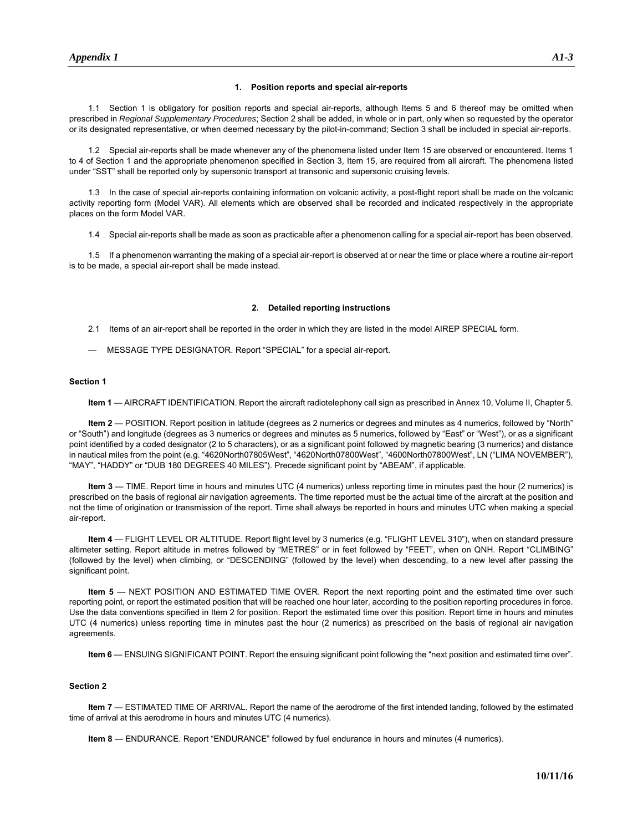#### **1. Position reports and special air-reports**

 1.1 Section 1 is obligatory for position reports and special air-reports, although Items 5 and 6 thereof may be omitted when prescribed in *Regional Supplementary Procedures*; Section 2 shall be added, in whole or in part, only when so requested by the operator or its designated representative, or when deemed necessary by the pilot-in-command; Section 3 shall be included in special air-reports.

 1.2 Special air-reports shall be made whenever any of the phenomena listed under Item 15 are observed or encountered. Items 1 to 4 of Section 1 and the appropriate phenomenon specified in Section 3, Item 15, are required from all aircraft. The phenomena listed under "SST" shall be reported only by supersonic transport at transonic and supersonic cruising levels.

 1.3 In the case of special air-reports containing information on volcanic activity, a post-flight report shall be made on the volcanic activity reporting form (Model VAR). All elements which are observed shall be recorded and indicated respectively in the appropriate places on the form Model VAR.

1.4 Special air-reports shall be made as soon as practicable after a phenomenon calling for a special air-report has been observed.

 1.5 If a phenomenon warranting the making of a special air-report is observed at or near the time or place where a routine air-report is to be made, a special air-report shall be made instead.

#### **2. Detailed reporting instructions**

2.1 Items of an air-report shall be reported in the order in which they are listed in the model AIREP SPECIAL form.

— MESSAGE TYPE DESIGNATOR. Report "SPECIAL" for a special air-report.

#### **Section 1**

**Item 1** — AIRCRAFT IDENTIFICATION. Report the aircraft radiotelephony call sign as prescribed in Annex 10, Volume II, Chapter 5.

**Item 2** — POSITION. Report position in latitude (degrees as 2 numerics or degrees and minutes as 4 numerics, followed by "North" or "South") and longitude (degrees as 3 numerics or degrees and minutes as 5 numerics, followed by "East" or "West"), or as a significant point identified by a coded designator (2 to 5 characters), or as a significant point followed by magnetic bearing (3 numerics) and distance in nautical miles from the point (e.g. "4620North07805West", "4620North07800West", "4600North07800West", LN ("LIMA NOVEMBER"), "MAY", "HADDY" or "DUB 180 DEGREES 40 MILES"). Precede significant point by "ABEAM", if applicable.

**Item 3** — TIME. Report time in hours and minutes UTC (4 numerics) unless reporting time in minutes past the hour (2 numerics) is prescribed on the basis of regional air navigation agreements. The time reported must be the actual time of the aircraft at the position and not the time of origination or transmission of the report. Time shall always be reported in hours and minutes UTC when making a special air-report.

**Item 4** — FLIGHT LEVEL OR ALTITUDE. Report flight level by 3 numerics (e.g. "FLIGHT LEVEL 310"), when on standard pressure altimeter setting. Report altitude in metres followed by "METRES" or in feet followed by "FEET", when on QNH. Report "CLIMBING" (followed by the level) when climbing, or "DESCENDING" (followed by the level) when descending, to a new level after passing the significant point.

**Item 5** — NEXT POSITION AND ESTIMATED TIME OVER. Report the next reporting point and the estimated time over such reporting point, or report the estimated position that will be reached one hour later, according to the position reporting procedures in force. Use the data conventions specified in Item 2 for position. Report the estimated time over this position. Report time in hours and minutes UTC (4 numerics) unless reporting time in minutes past the hour (2 numerics) as prescribed on the basis of regional air navigation agreements.

**Item 6** — ENSUING SIGNIFICANT POINT. Report the ensuing significant point following the "next position and estimated time over".

#### **Section 2**

**Item 7** — ESTIMATED TIME OF ARRIVAL. Report the name of the aerodrome of the first intended landing, followed by the estimated time of arrival at this aerodrome in hours and minutes UTC (4 numerics).

**Item 8** — ENDURANCE. Report "ENDURANCE" followed by fuel endurance in hours and minutes (4 numerics).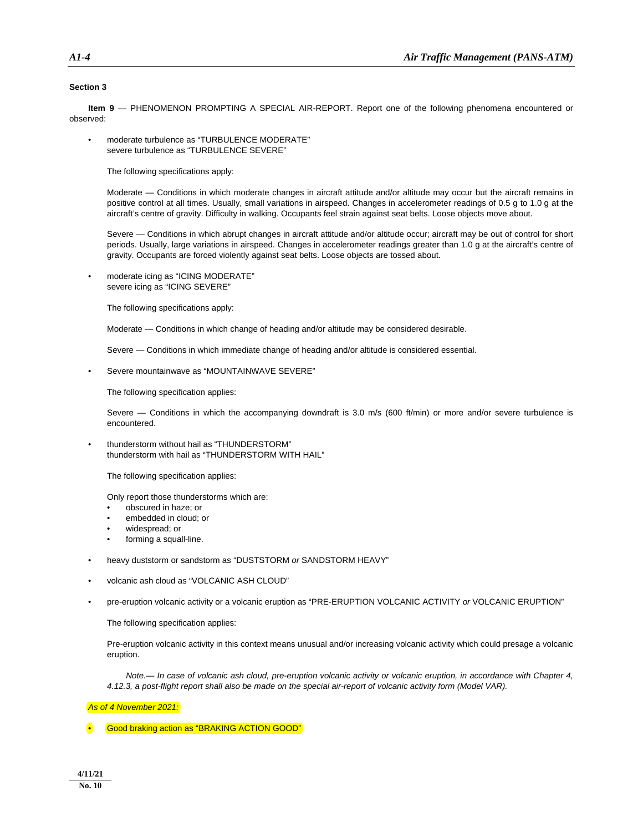### **Section 3**

**Item 9** — PHENOMENON PROMPTING A SPECIAL AIR-REPORT. Report one of the following phenomena encountered or observed:

 • moderate turbulence as "TURBULENCE MODERATE" severe turbulence as "TURBULENCE SEVERE"

The following specifications apply:

 Moderate — Conditions in which moderate changes in aircraft attitude and/or altitude may occur but the aircraft remains in positive control at all times. Usually, small variations in airspeed. Changes in accelerometer readings of 0.5 g to 1.0 g at the aircraft's centre of gravity. Difficulty in walking. Occupants feel strain against seat belts. Loose objects move about.

 Severe — Conditions in which abrupt changes in aircraft attitude and/or altitude occur; aircraft may be out of control for short periods. Usually, large variations in airspeed. Changes in accelerometer readings greater than 1.0 g at the aircraft's centre of gravity. Occupants are forced violently against seat belts. Loose objects are tossed about.

 • moderate icing as "ICING MODERATE" severe icing as "ICING SEVERE"

The following specifications apply:

Moderate — Conditions in which change of heading and/or altitude may be considered desirable.

Severe — Conditions in which immediate change of heading and/or altitude is considered essential.

• Severe mountainwave as "MOUNTAINWAVE SEVERE"

The following specification applies:

Severe — Conditions in which the accompanying downdraft is 3.0 m/s (600 ft/min) or more and/or severe turbulence is encountered.

 • thunderstorm without hail as "THUNDERSTORM" thunderstorm with hail as "THUNDERSTORM WITH HAIL"

The following specification applies:

Only report those thunderstorms which are:

- obscured in haze; or
- embedded in cloud; or
- widespread; or
- forming a squall-line.
- heavy duststorm or sandstorm as "DUSTSTORM *or* SANDSTORM HEAVY"
- volcanic ash cloud as "VOLCANIC ASH CLOUD"
- pre-eruption volcanic activity or a volcanic eruption as "PRE-ERUPTION VOLCANIC ACTIVITY *or* VOLCANIC ERUPTION"

The following specification applies:

 Pre-eruption volcanic activity in this context means unusual and/or increasing volcanic activity which could presage a volcanic eruption.

 *Note.— In case of volcanic ash cloud, pre-eruption volcanic activity or volcanic eruption, in accordance with Chapter 4, 4.12.3, a post-flight report shall also be made on the special air-report of volcanic activity form (Model VAR).* 

 *As of 4 November 2021:* 

Good braking action as "BRAKING ACTION GOOD"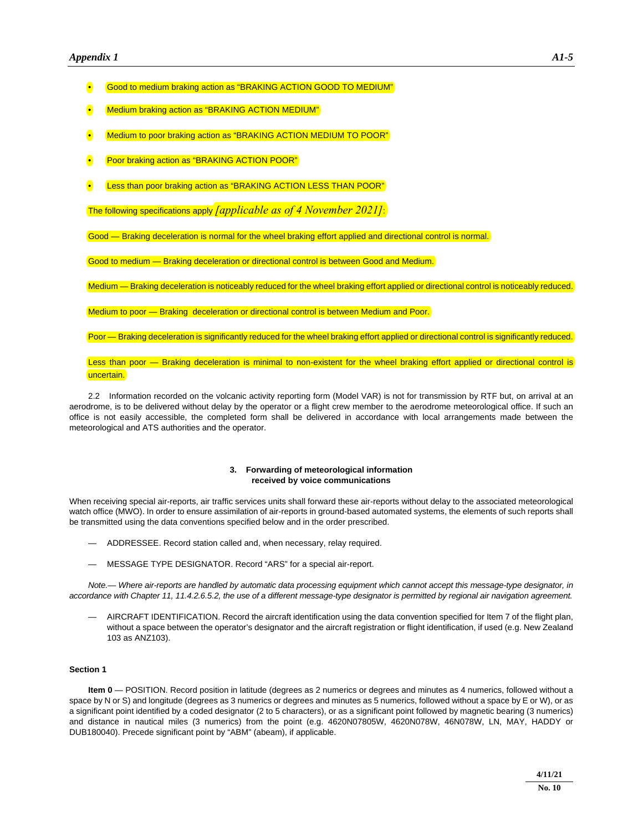- Medium braking action as "BRAKING ACTION MEDIUM"
- Medium to poor braking action as "BRAKING ACTION MEDIUM TO POOR"
- **Poor braking action as "BRAKING ACTION POOR"**
- **Less than poor braking action as "BRAKING ACTION LESS THAN POOR"**

The following specifications apply *[applicable as of 4 November 2021]*:

Good — Braking deceleration is normal for the wheel braking effort applied and directional control is normal.

Good to medium — Braking deceleration or directional control is between Good and Medium.

Medium — Braking deceleration is noticeably reduced for the wheel braking effort applied or directional control is noticeably reduced.

Medium to poor - Braking deceleration or directional control is between Medium and Poor.

Poor — Braking deceleration is significantly reduced for the wheel braking effort applied or directional control is significantly reduced.

Less than poor — Braking deceleration is minimal to non-existent for the wheel braking effort applied or directional control is uncertain.

 2.2 Information recorded on the volcanic activity reporting form (Model VAR) is not for transmission by RTF but, on arrival at an aerodrome, is to be delivered without delay by the operator or a flight crew member to the aerodrome meteorological office. If such an office is not easily accessible, the completed form shall be delivered in accordance with local arrangements made between the meteorological and ATS authorities and the operator.

#### **3. Forwarding of meteorological information received by voice communications**

When receiving special air-reports, air traffic services units shall forward these air-reports without delay to the associated meteorological watch office (MWO). In order to ensure assimilation of air-reports in ground-based automated systems, the elements of such reports shall be transmitted using the data conventions specified below and in the order prescribed.

- ADDRESSEE. Record station called and, when necessary, relay required.
- MESSAGE TYPE DESIGNATOR. Record "ARS" for a special air-report.

*Note.— Where air-reports are handled by automatic data processing equipment which cannot accept this message-type designator, in accordance with Chapter 11, 11.4.2.6.5.2, the use of a different message-type designator is permitted by regional air navigation agreement.* 

 — AIRCRAFT IDENTIFICATION. Record the aircraft identification using the data convention specified for Item 7 of the flight plan, without a space between the operator's designator and the aircraft registration or flight identification, if used (e.g. New Zealand 103 as ANZ103).

#### **Section 1**

**Item 0** — POSITION. Record position in latitude (degrees as 2 numerics or degrees and minutes as 4 numerics, followed without a space by N or S) and longitude (degrees as 3 numerics or degrees and minutes as 5 numerics, followed without a space by E or W), or as a significant point identified by a coded designator (2 to 5 characters), or as a significant point followed by magnetic bearing (3 numerics) and distance in nautical miles (3 numerics) from the point (e.g. 4620N07805W, 4620N078W, 46N078W, LN, MAY, HADDY or DUB180040). Precede significant point by "ABM" (abeam), if applicable.